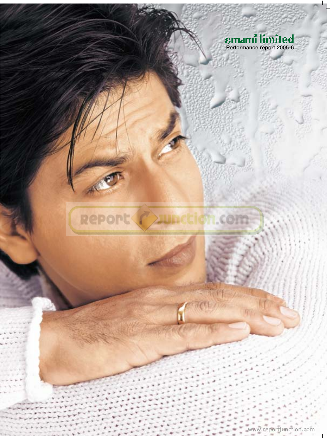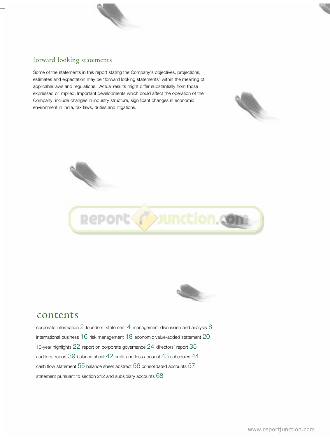### forward looking statements

 $\overline{1}$ 

Some of the statements in this report stating the Company's objectives, projections, estimates and expectation may be "forward looking statements" within the meaning of applicable laws and regulations. Actual results might differ substantially from those expressed or implied. Important developments which could affect the operation of the Company, include changes in industry structure, significant changes in economic environment in India, tax laws, duties and litigations.







### contents

corporate information  $2$  founders' statement  $4$  management discussion and analysis  $6$ international business 16 risk management 18 economic value-added statement 20 10-year highlights 22 report on corporate governance 24 directors' report 35 auditors' report 39 balance sheet 42 profit and loss account 43 schedules 44 cash flow statement 55 balance sheet abstract 56 consolidated accounts 57 statement pursuant to section 212 and subsidiary accounts 68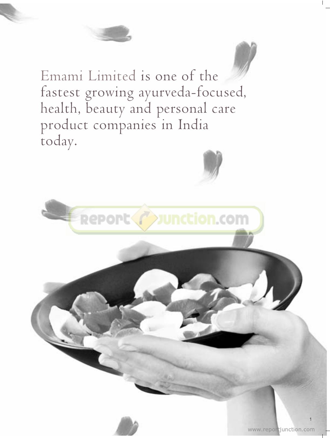

Emami Limited is one of the fastest growing ayurveda-focused, health, beauty and personal care product companies in India today.



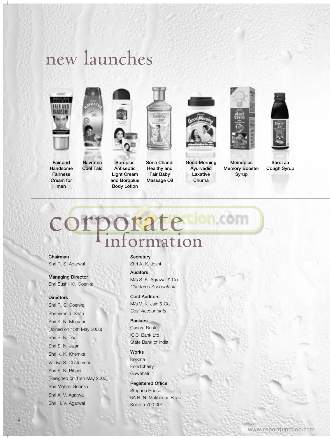# new launches



**Fair and Handsome Fairness Cream for men**



**Antiseptic Light Cream and Boroplus Body Lotion Navratna Cool Talc**

**Boroplus**



**Sona Chandi Healthy and Fair Baby Massage Oil**



**Good Morning Ayurvedic Laxative Churna**



**Memory Booster Syrup**



**Sardi Ja Cough Syrup**

# c[orporate](http://www.reportjunction.com) information

**Chairman** Shri R. S. Agarwal

**Managing Director** Shri Sushil Kr. Goenka

#### **Directors**

Shri R. S. Goenka Shri Viren J. Shah Shri K. N. Memani (Joined on 15th May 2006) Shri S. K. Todi Shri S. N. Jalan Shri K. K. Khemka Vaidya S. Chaturvedi Shri S. N. Bihani (Resigned on 15th May 2006) Shri Mohan Goenka Shri A. V. Agarwal Shri H. V. Agarwal

#### **Secretary** Shri A. K. Joshi

**Auditors** M/s S. K. Agrawal & Co.

*Chartered Accountants* **Cost Auditors** M/s V. K. Jain & Co. *Cost Accountants*

**Bankers**

Canara Bank ICICI Bank Ltd. State Bank of India

**Works** Kolkata **Pondicherry** Guwahati

**Registered Office** Stephen House 6A R. N. Mukherjee Road Kolkata 700 001.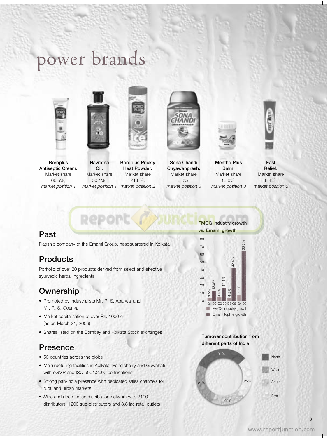# power brands





**Boroplus Antiseptic Cream:** Market share 66.5%; *market position 1*

**Navratna**

**Oil:** Market share 50.1%;

*market position 1 market position 2* **Boroplus Prickly Heat Powder:** Market share 21.8%;



**Sona Chandi Chyawanprash:** Market share 8.6%; *market position 3*



**Mentho Plus Balm:** Market share 13.6%; *market position 3*

**[FMCG industry growth](http://www.reportjunction.com) vs. Emami growth**



**Past** 

Flagship company of the Emami Group, headquartered in Kolkata

**Repor** 

## **Products**

Portfolio of over 20 products derived from select and effective ayurvedic herbal ingredients

## **Ownership**

- Promoted by industrialists Mr. R. S. Agarwal and Mr. R. S. Goenka
- Market capitalisation of over Rs. 1000 cr (as on March 31, 2006)
- Shares listed on the Bombay and Kolkata Stock exchanges

### **Presence**

- 53 countries across the globe
- Manufacturing facilities in Kolkata, Pondicherry and Guwahati with cGMP and ISO 9001:2000 certifications
- Strong pan-India presence with dedicated sales channels for rural and urban markets
- Wide and deep Indian distribution network with 2100 distributors, 1200 sub-distributors and 3.8 lac retail outlets

**Turnover contribution from different parts of India** 

 $\frac{Q}{Q}$  0.5%<br>  $\frac{Q}{Q}$  4.8%<br>  $\frac{Q}{Q}$  4.8%<br>  $\frac{Q}{Q}$  4.2%<br>  $\frac{Q}{Q}$  7.7%<br>  $\frac{Q}{Q}$  7.7%<br>  $\frac{Q}{Q}$  6.8

63.8%

4.8% 4.2% 7.7%

**FMCG** industry growth **Emami** topline growth



3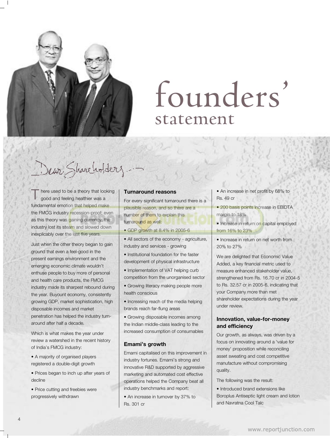

# founders' statement

Dear Shareholdery

here used to be a theory that looking good and feeling healthier was a fundamental emotion that helped make the FMCG industry recession-proof; even as this theory was gaining currency, the industry lost its steam and slowed down inexplicably over the last five years. T

Just when the other theory began to gain ground that even a feel-good in the present earnings environment and the emerging economic climate wouldn't enthuse people to buy more of personal and health care products, the FMCG industry made its sharpest rebound during the year. Buyount economy, consistently growing GDP, market sophistication, high disposable incomes and market penetration has helped the industry turnaround after half a decade.

Which is what makes the year under review a watershed in the recent history of India's FMCG industry:

• A majority of organised players registered a double-digit growth

• Prices began to inch up after years of decline

• Price cutting and freebies were progressively withdrawn

#### **Turnaround reasons**

For every significant turnaround there is a [plausible reason, and so there are a](http://www.reportjunction.com) number of them to explain this turnaround as well:

- GDP growth at 8.4% in 2005-6
- All sectors of the economy agriculture, industry and services - growing
- Institutional foundation for the faster development of physical infrastructure
- Implementation of VAT helping curb competition from the unorganised sector
- Growing literacy making people more health conscious
- Increasing reach of the media helping brands reach far-flung areas
- Growing disposable incomes among the Indian middle-class leading to the increased consumption of consumables

#### **Emami's growth**

Emami capitalised on this improvement in industry fortunes. Emami's strong and innovative R&D supported by aggressive marketing and automated cost effective operations helped the Company beat all industry benchmarks and report:

• An increase in turnover by 37% to Rs. 301 cr

- An increase in net profit by 68% to Rs. 49 cr
- 200 basis points increase in EBIDTA margin to 18%
- Increase in return on capital employed from 16% to 23%
- Increase in return on net worth from 20% to 27%

We are delighted that Economic Value Added, a key financial metric used to measure enhanced stakeholder value, strengthened from Rs. 16.70 cr in 2004-5 to Rs. 32.57 cr in 2005-6, indicating that your Company more than met shareholder expectations during the year under review.

#### **Innovation, value-for-money and efficiency**

Our growth, as always, was driven by a focus on innovating around a 'value for money' proposition while reconciling asset sweating and cost competitive manufacture without compromising quality.

The following was the result:

• Introduced brand extensions like Boroplus Antiseptic light cream and lotion and Navratna Cool Talc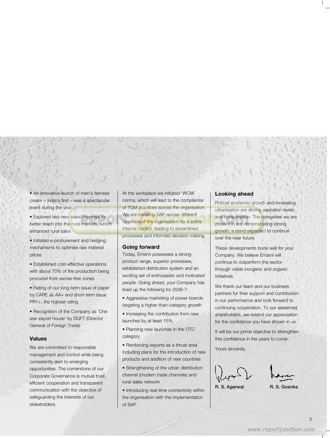• An innovative launch of men's fairness cream – India's first – was a spectacular event during the year

• Explored two new sales channels for better reach into the rural markets, which enhanced rural sales

• Initiated e-procurement and hedging mechanisms to optimise raw material prices

• Established cost-effective operations with about 70% of the production being procured from excise-free zones

• Rating of our long-term issue of paper by CARE as AA+ and short-term issue PR1+, the highest rating

• Recognition of the Company as 'One star export house' by DGFT (Director General of Foreign Trade)

#### **Values**

We are committed to responsible management and control while being consistently alert to emerging opportunities. The cornerstone of our Corporate Governance is mutual trust, efficient cooperation and transparent communication with the objective of safeguarding the interests of our stakeholders.

At the workplace we initiated 'WCM' norms, which will lead to the compliance [of TQM practices across the organisation.](http://www.reportjunction.com) We are installing SAP across different functions of the organisation for a better internal control, leading to streamlined processes and informed decision making.

#### **Going forward**

Today, Emami possesses a strong product range, superior processes, established distribution system and an exciting set of enthusiastic and motivated people. Going ahead, your Company has lined up the following for 2006-7:

• Aggressive marketing of power brands targeting a higher-than-category growth

• Increasing the contribution from new launches by at least 15%

- Planning new launches in the OTC category
- Reinforcing exports as a thrust area including plans for the introduction of new products and addition of new countries
- Strengthening of the urban distribution channel (modern trade channels) and rural sales network

• Introducing real-time connectivity within the organisation with the implementation of SAP

#### **Looking ahead**

Robust economic growth and increasing urbanisation are driving aspiration levels and consumption. The categories we are present in are demonstrating strong growth, a trend expected to continue over the near future.

These developments bode well for your Company. We believe Emami will continue to outperform the sector through viable inorganic and organic initiatives.

We thank our team and our business partners for their support and contribution in our performance and look forward to continuing cooperation. To our esteemed shareholders, we extend our appreciation for the confidence you have shown in us.

It will be our prime objective to strengthen this confidence in the years to come.

Yours sincerely,

**R. S. Agarwal R. S. Goenka**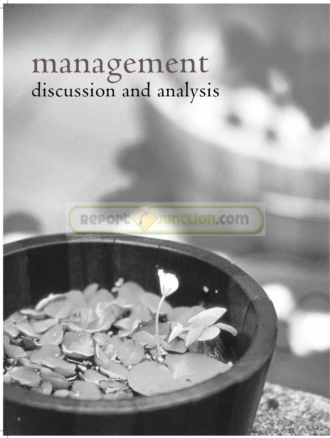# management discussion and analysis



<www.reportjunction.com>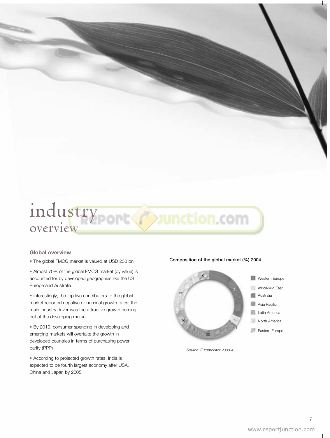## ind[ustry](http://www.reportjunction.com) overview

#### **Global overview**

• The global FMCG market is valued at USD 230 bn

• Almost 70% of the global FMCG market (by value) is accounted for by developed geographies like the US, Europe and Australia

• Interestingly, the top five contributors to the global market reported negative or nominal growth rates; the main industry driver was the attractive growth coming out of the developing market

• By 2010, consumer spending in developing and emerging markets will overtake the growth in developed countries in terms of purchasing power parity (PPP)

• According to projected growth rates, India is expected to be fourth largest economy after USA, China and Japan by 2005.

#### **Composition of the global market (%) 2004**



*Source: Euromonitor 2003-4*

7